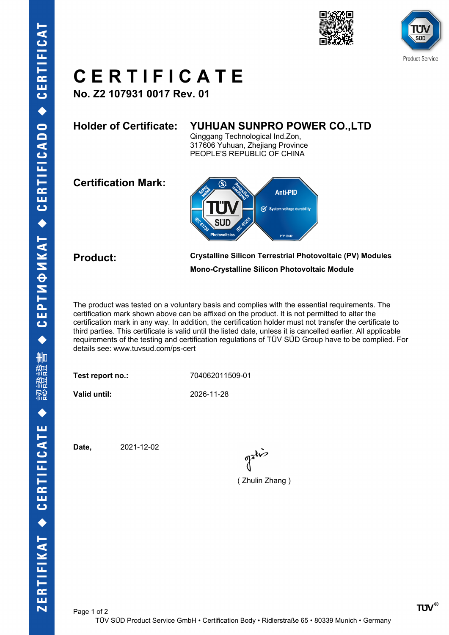





# **C E R T I F I C A T E**

**No. Z2 107931 0017 Rev. 01**

### **Holder of Certificate: YUHUAN SUNPRO POWER CO.,LTD**

Qinggang Technological Ind.Zon, 317606 Yuhuan, Zhejiang Province PEOPLE'S REPUBLIC OF CHINA

**Certification Mark:**



**Product: Crystalline Silicon Terrestrial Photovoltaic (PV) Modules Mono-Crystalline Silicon Photovoltaic Module**

The product was tested on a voluntary basis and complies with the essential requirements. The certification mark shown above can be affixed on the product. It is not permitted to alter the certification mark in any way. In addition, the certification holder must not transfer the certificate to third parties. This certificate is valid until the listed date, unless it is cancelled earlier. All applicable requirements of the testing and certification regulations of TÜV SÜD Group have to be complied. For details see: www.tuvsud.com/ps-cert

**Test report no.:** 704062011509-01

**Valid until:** 2026-11-28

**Date,** 2021-12-02

( Zhulin Zhang )